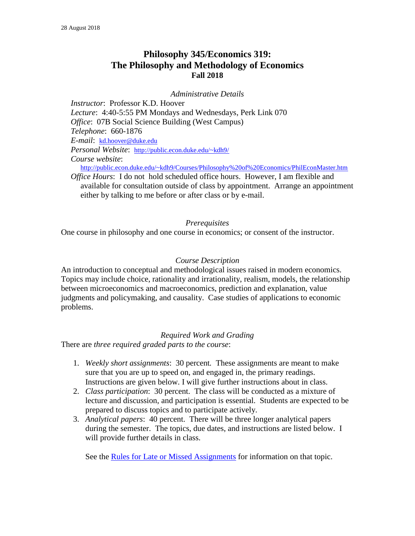# **Philosophy 345/Economics 319: The Philosophy and Methodology of Economics Fall 2018**

*Administrative Details*

*Instructor*: Professor K.D. Hoover *Lecture*: 4:40-5:55 PM Mondays and Wednesdays, Perk Link 070 *Office: 07B Social Science Building (West Campus) Telephone*: 660-1876 *E-mail*: [kd.hoover@duke.edu](mailto:kd.hoover@duke.edu) *Personal Website*: <http://public.econ.duke.edu/~kdh9/> *Course website*: <http://public.econ.duke.edu/~kdh9/Courses/Philosophy%20of%20Economics/PhilEconMaster.htm>

*Office Hours*: I do not hold scheduled office hours. However, I am flexible and available for consultation outside of class by appointment. Arrange an appointment either by talking to me before or after class or by e-mail.

### *Prerequisites*

One course in philosophy and one course in economics; or consent of the instructor.

#### *Course Description*

An introduction to conceptual and methodological issues raised in modern economics. Topics may include choice, rationality and irrationality, realism, models, the relationship between microeconomics and macroeconomics, prediction and explanation, value judgments and policymaking, and causality. Case studies of applications to economic problems.

#### *Required Work and Grading*

There are *three required graded parts to the course*:

- 1. *Weekly short assignments*: 30 percent*.* These assignments are meant to make sure that you are up to speed on, and engaged in, the primary readings. Instructions are given below. I will give further instructions about in class.
- 2. *Class participation*: 30 percent. The class will be conducted as a mixture of lecture and discussion, and participation is essential. Students are expected to be prepared to discuss topics and to participate actively.
- 3. *Analytical papers*: 40 percent. There will be three longer analytical papers during the semester. The topics, due dates, and instructions are listed below. I will provide further details in class.

See the Rules for Late or Missed [Assignments](http://www.econ.duke.edu/~kdh9/Courses/Phil%20145-Econ%20137/Late%20and%20Missed%20Assignments.html) for information on that topic.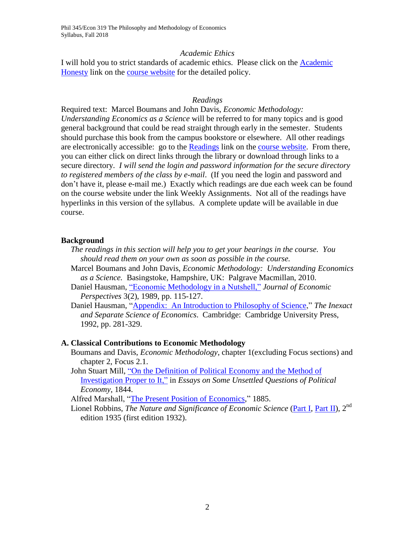#### *Academic Ethics*

I will hold you to strict standards of academic ethics. Please click on the [Academic](http://www.econ.duke.edu/~kdh9/Courses/Phil%20145-Econ%20137/145master.htm) [Honesty](http://www.econ.duke.edu/~kdh9/Courses/Phil%20145-Econ%20137/145master.htm) link on the course [website](http://www.econ.duke.edu/~kdh9/Courses/Phil%20145-Econ%20137/145master.htm) for the detailed policy.

### *Readings*

Required text: Marcel Boumans and John Davis, *Economic Methodology: Understanding Economics as a Science* will be referred to for many topics and is good general background that could be read straight through early in the semester. Students should purchase this book from the campus bookstore or elsewhere. All other readings are electronically accessible: go to the [Readings](http://www.econ.duke.edu/~kdh9/Courses/Phil%20145-Econ%20137/145master.htm) link on the course [website.](http://www.econ.duke.edu/~kdh9/Courses/Phil%20145-Econ%20137/145master.htm) From there, you can either click on direct links through the library or download through links to a secure directory. *I will send the login and password information for the secure directory to registered members of the class by e-mail*. (If you need the login and password and don't have it, please e-mail me.) Exactly which readings are due each week can be found on the course website under the link Weekly Assignments. Not all of the readings have hyperlinks in this version of the syllabus. A complete update will be available in due course.

### **Background**

- *The readings in this section will help you to get your bearings in the course. You should read them on your own as soon as possible in the course.*
- Marcel Boumans and John Davis, *Economic Methodology: Understanding Economics as a Science.* Basingstoke, Hampshire, UK: Palgrave Macmillan, 2010.
- Daniel Hausman, "Economic [Methodology](http://links.jstor.org/sici?sici=0895-3309%28198921%293%3A2%3C115%3AEMIAN%3E2.0.CO%3B2-P) in a Nutshell," *Journal of Economic Perspectives* 3(2), 1989, pp. 115-127.
- Daniel Hausman, ["Appendix: An](file://///afs/auto5/web/Courses/Philosophy%20of%20Economics/Secure%20Readings/Hausman%20Appendix.pdf) Introduction to Philosophy of Science," *The Inexact and Separate Science of Economics*. Cambridge: Cambridge University Press, 1992, pp. 281-329.

### **A. Classical Contributions to Economic Methodology**

- Boumans and Davis, *Economic Methodology*, chapter 1(excluding Focus sections) and chapter 2, Focus 2.1.
- John Stuart Mill, "On the [Definition](http://www.econlib.org/library/Mill/mlUQP5.html#Essay%20V.%20On%20the%20Definition%20of%20Political%20Economy.) of Political Economy and the Method of [Investigation](http://www.econlib.org/library/Mill/mlUQP5.html#Essay%20V.%20On%20the%20Definition%20of%20Political%20Economy.) Proper to It," in *Essays on Some Unsettled Questions of Political Economy*, 1844.

Alfred Marshall, ["The Present Position of Economics,](file://///afs/auto5/web/Courses/Philosophy%20of%20Economics/Secure%20Readings/Marshall,PresentPositionofEconomics(1885).pdf)" 1885.

Lionel Robbins, *The Nature and Significance of Economic Science* [\(Part](file://///afs/auto5/web/Courses/Philosophy%20of%20Economics/Secure%20Readings/Robbins%20Part%201.pdf) I, [Part](file://///afs/auto5/web/Courses/Philosophy%20of%20Economics/Secure%20Readings/Robbins%20Part%202.pdf) II), 2 nd edition 1935 (first edition 1932).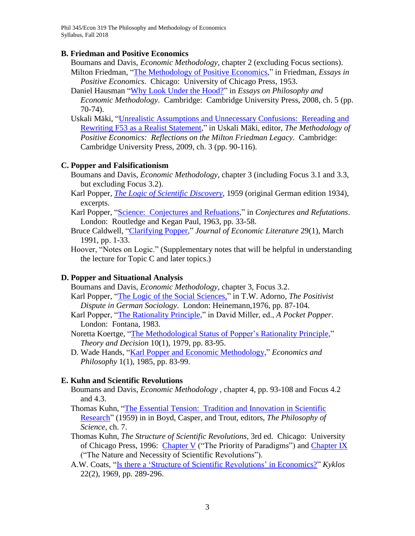Phil 345/Econ 319 The Philosophy and Methodology of Economics Syllabus, Fall 2018

#### **B. Friedman and Positive Economics**

Boumans and Davis, *Economic Methodology*, chapter 2 (excluding Focus sections).

Milton Friedman, "The [Methodology](file://///afs/auto5/web/Courses/Philosophy%20of%20Economics/Secure%20Readings/Friedman%20Methodology.pdf) of Positive Economics," in Friedman, *Essays in Positive Economics*. Chicago: University of Chicago Press, 1953.

Daniel Hausman "Why Look Under the [Hood?"](file://///afs/auto5/web/Courses/Philosophy%20of%20Economics/Secure%20Readings/Hausman%20Under%20the%20Hood.pdf) in *Essays on Philosophy and Economic Methodology*. Cambridge: Cambridge University Press, 2008, ch. 5 (pp. 70-74).

Uskali Mäki, "Unrealistic Assumptions and Unnecessary [Confusions: Rereading](file://///afs/auto5/web/Courses/Philosophy%20of%20Economics/Secure%20Readings/Maki%20Friedman%20and%20Realism.pdf) and Rewriting F53 as a Realist [Statement,](file://///afs/auto5/web/Courses/Philosophy%20of%20Economics/Secure%20Readings/Maki%20Friedman%20and%20Realism.pdf)" in Uskali Mäki, editor, *The Methodology of Positive Economics: Reflections on the Milton Friedman Legacy.* Cambridge: Cambridge University Press, 2009, ch. 3 (pp. 90-116).

### **C. Popper and Falsificationism**

Boumans and Davis, *Economic Methodology*, chapter 3 (including Focus 3.1 and 3.3, but excluding Focus 3.2).

Karl Popper, *The Logic of Scientific [Discovery](file://///afs/auto5/web/Courses/Philosophy%20of%20Economics/Secure%20Readings/Popper%20Scientific%20Discovery.pdf)*, 1959 (original German edition 1934), excerpts.

Karl Popper, ["Science: Conjectures](file://///afs/auto5/web/Courses/Philosophy%20of%20Economics/Secure%20Readings/Popper%20Conjectures.pdf) and Refuations," in *Conjectures and Refutations*. London: Routledge and Kegan Paul, 1963, pp. 33-58.

Bruce Caldwell, ["Clarifying](http://links.jstor.org/sici?sici=0022-0515%28199103%2929%3A1%3C1%3ACP%3E2.0.CO%3B2-3) Popper," *Journal of Economic Literature* 29(1), March 1991, pp. 1-33.

Hoover, "Notes on Logic." (Supplementary notes that will be helpful in understanding the lecture for Topic C and later topics.)

### **D. Popper and Situational Analysis**

Boumans and Davis, *Economic Methodology*, chapter 3, Focus 3.2.

Karl Popper, "The Logic of the Social [Sciences,"](http://www.econ.duke.edu/~kdh9/Courses/Phil%20145-Econ%20137/Secure%20Readings/Popper%20on%20Social%20Sciences.pdf) in T.W. Adorno, *The Positivist Dispute in German Sociology*. London: Heinemann,1976, pp. 87-104.

- Karl Popper, ["The Rationality Principle,](file://///afs/auto5/web/Courses/Philosophy%20of%20Economics/Secure%20Readings/PopperRationality%20Principle.pdf)" in David Miller, ed., *A Pocket Popper*. London: Fontana, 1983.
- Noretta Koertge, "The [Methodological](http://www.springerlink.com/content/l3773044r7464782/fulltext.pdf) Status of Popper's Rationality Principle," *Theory and Decision* 10(1), 1979, pp. 83-95.
- D. Wade Hands, "Karl Popper and Economic [Methodology,](file://///afs/auto5/web/Courses/Philosophy%20of%20Economics/Secure%20Readings/Hands%20on%20Popper.pdf)" *Economics and Philosophy* 1(1), 1985, pp. 83-99.

#### **E. Kuhn and Scientific Revolutions**

Boumans and Davis, *Economic Methodology* , chapter 4, pp. 93-108 and Focus 4.2 and 4.3.

Thomas Kuhn, "The Essential [Tension: Tradition](file://///afs/auto5/web/Courses/Philosophy%20of%20Economics/Secure%20Readings/Kuhn%20Essential%20Tension.pdf) and Innovation in Scientific [Research"](file://///afs/auto5/web/Courses/Philosophy%20of%20Economics/Secure%20Readings/Kuhn%20Essential%20Tension.pdf) (1959) in in Boyd, Casper, and Trout, editors, *The Philosophy of Science*, ch. 7.

Thomas Kuhn, *The Structure of Scientific Revolutions*, 3rd ed. Chicago: University of Chicago Press, 1996: [Chapter](file://///afs/auto5/web/Courses/Philosophy%20of%20Economics/Secure%20Readings/KuhnStructure-1.pdf) V ("The Priority of Paradigms") and [Chapter](file://///afs/auto5/web/Courses/Philosophy%20of%20Economics/Secure%20Readings/KuhnStructure-2.pdf) IX ("The Nature and Necessity of Scientific Revolutions").

A.W. Coats, "Is there a 'Structure of Scientific [Revolutions'](file://///afs/auto5/web/Courses/Philosophy%20of%20Economics/Secure%20Readings/Coats%20Revolutions.pdf) in Economics?" *Kyklos* 22(2), 1969, pp. 289-296.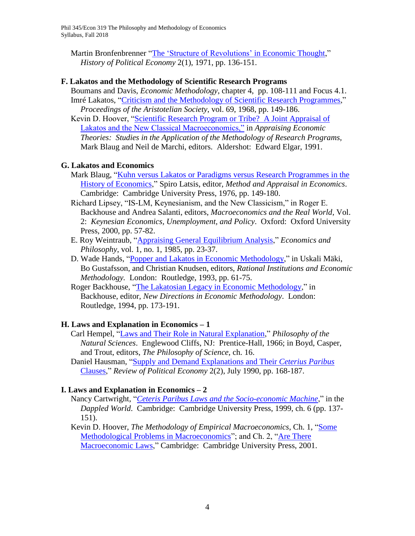Martin Bronfenbrenner "The 'Structure of [Revolutions'](file://///afs/auto5/web/Courses/Philosophy%20of%20Economics/Secure%20Readings/BronfenbrennerRevolutions.pdf) in Economic Thought." *History of Political Economy* 2(1), 1971, pp. 136-151.

### **F. Lakatos and the Methodology of Scientific Research Programs**

Boumans and Davis, *Economic Methodology*, chapter 4, pp. 108-111 and Focus 4.1. Imré Lakatos, "Criticism and the [Methodology](file://///afs/auto5/web/Courses/Philosophy%20of%20Economics/Secure%20Readings/Lakatos%20Criticism%20and%20MSRP.pdf) of Scientific Research Programmes," *Proceedings of the Aristotelian Society*, vol. 69, 1968, pp. 149-186.

Kevin D. Hoover, ["Scientific Research Program or Tribe? A Joint Appraisal of](http://public.econ.duke.edu/~kdh9/Source%20Materials/Research/Lakatos.pdf)  [Lakatos and the New Classical Macroeconomics,"](http://public.econ.duke.edu/~kdh9/Source%20Materials/Research/Lakatos.pdf) in *Appraising Economic Theories: Studies in the Application of the Methodology of Research Programs,* Mark Blaug and Neil de Marchi, editors. Aldershot: Edward Elgar, 1991.

# **G. Lakatos and Economics**

- Mark Blaug, "Kuhn versus Lakatos or Paradigms versus Research [Programmes](file://///afs/auto5/web/Courses/Philosophy%20of%20Economics/Secure%20Readings/Blaug-%20Kuhn%20vs.%20Lakatos.pdf) in the History of [Economics,](file://///afs/auto5/web/Courses/Philosophy%20of%20Economics/Secure%20Readings/Blaug-%20Kuhn%20vs.%20Lakatos.pdf)" Spiro Latsis, editor, *Method and Appraisal in Economics*. Cambridge: Cambridge University Press, 1976, pp. 149-180.
- Richard Lipsey, "IS-LM, Keynesianism, and the New Classicism," in Roger E. Backhouse and Andrea Salanti, editors, *Macroeconomics and the Real World*, Vol. 2: *Keynesian Economics, Unemployment, and Policy*. Oxford: Oxford University Press, 2000, pp. 57-82.
- E. Roy Weintraub, "Appraising General [Equilibrium](file://///afs/auto5/web/Courses/Philosophy%20of%20Economics/Secure%20Readings/Weintraub%20on%20GE%20SRP.pdf) Analysis," *Economics and Philosophy*, vol. 1, no. 1, 1985, pp. 23-37.
- D. Wade Hands, "Popper and Lakatos in Economic [Methodology,](file://///afs/auto5/web/Courses/Philosophy%20of%20Economics/Secure%20Readings/Hands%20on%20Popper%20and%20Lakatos.pdf)" in Uskali Mäki, Bo Gustafsson, and Christian Knudsen, editors, *Rational Institutions and Economic Methodology.* London: Routledge, 1993, pp. 61-75.
- Roger Backhouse, "The Lakatosian Legacy in Economic [Methodology,](file://///afs/auto5/web/Courses/Philosophy%20of%20Economics/Secure%20Readings/Backhouse%20Lakatosian%20Legacy.pdf)" in Backhouse, editor, *New Directions in Economic Methodology*. London: Routledge, 1994, pp. 173-191.

# **H. Laws and Explanation in Economics – 1**

- Carl Hempel, "Laws and Their Role in Natural [Explanation,](file://///afs/auto5/web/Courses/Philosophy%20of%20Economics/Secure%20Readings/Hempel%20Laws%20and%20Explanation.pdf)" *Philosophy of the Natural Sciences*. Englewood Cliffs, NJ: Prentice-Hall, 1966; in Boyd, Casper, and Trout, editors, *The Philosophy of Science*, ch. 16.
- Daniel Hausman, "Supply and Demand [Explanations](file://///afs/auto5/web/Courses/Philosophy%20of%20Economics/Secure%20Readings/Hausman--supply%20and%20demand.pdf) and Their *Ceterius Paribus* [Clauses,](file://///afs/auto5/web/Courses/Philosophy%20of%20Economics/Secure%20Readings/Hausman--supply%20and%20demand.pdf)" *Review of Political Economy* 2(2), July 1990, pp. 168-187.

# **I. Laws and Explanation in Economics – 2**

- Nancy Cartwright, "*Ceteris Paribus Laws and the [Socio-economic](file://///afs/auto5/web/Courses/Philosophy%20of%20Economics/Secure%20Readings/Cartwright-Socioeconomic%20Machines.pdf) Machine*," in the *Dappled World*. Cambridge: Cambridge University Press, 1999, ch. 6 (pp. 137- 151).
- Kevin D. Hoover, *The Methodology of Empirical Macroeconomics*, Ch. 1, ["Some](file://///afs/auto5/web/Courses/Philosophy%20of%20Economics/Secure%20Readings/HooverMacroMethodologyIntro.pdf)  [Methodological Problems in Macroeconomics"](file://///afs/auto5/web/Courses/Philosophy%20of%20Economics/Secure%20Readings/HooverMacroMethodologyIntro.pdf); and Ch. 2, "Are [There](file://///afs/auto5/web/Courses/Philosophy%20of%20Economics/Secure%20Readings/Hoover%20Empirical%20Macro%20Laws.pdf) [Macroeconomic](file://///afs/auto5/web/Courses/Philosophy%20of%20Economics/Secure%20Readings/Hoover%20Empirical%20Macro%20Laws.pdf) Laws," Cambridge: Cambridge University Press, 2001.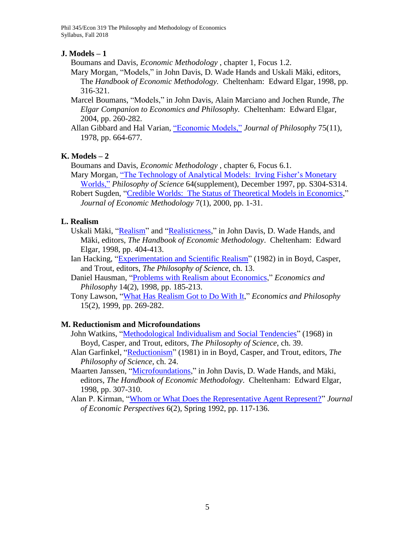Phil 345/Econ 319 The Philosophy and Methodology of Economics Syllabus, Fall 2018

### **J. Models – 1**

Boumans and Davis, *Economic Methodology* , chapter 1, Focus 1.2.

- Mary Morgan, "Models," in John Davis, D. Wade Hands and Uskali Mäki, editors, The *Handbook of Economic Methodology.* Cheltenham: Edward Elgar, 1998, pp. 316-321.
- Marcel Boumans, "Models," in John Davis, Alain Marciano and Jochen Runde, *The Elgar Companion to Economics and Philosophy.* Cheltenham: Edward Elgar, 2004, pp. 260-282.
- Allan Gibbard and Hal Varian, ["Economic](http://links.jstor.org/sici?sici=0022-362X%28197811%2975%3A11%3C664%3AEM%3E2.0.CO%3B2-G) Models," *Journal of Philosophy* 75(11), 1978, pp. 664-677.

### **K. Models – 2**

Boumans and Davis, *Economic Methodology* , chapter 6, Focus 6.1.

- Mary Morgan, "The Technology of Analytical [Models: Irving](http://links.jstor.org/sici?sici=0031-8248%28199712%2964%3CS304%3ATTOAMI%3E2.0.CO%3B2-C) Fisher's Monetary [Worlds,"](http://links.jstor.org/sici?sici=0031-8248%28199712%2964%3CS304%3ATTOAMI%3E2.0.CO%3B2-C) *Philosophy of Science* 64(supplement), December 1997, pp. S304-S314.
- Robert Sugden, "Credible [Worlds: The](file://///afs/auto5/web/Courses/Philosophy%20of%20Economics/Secure%20Readings/Sugden%20Credible%20Worlds.pdf) Status of Theoretical Models in Economics," *Journal of Economic Methodology* 7(1), 2000, pp. 1-31.

### **L. Realism**

- Uskali Mäki, ["Realism"](file://///afs/auto5/web/Courses/Philosophy%20of%20Economics/Secure%20Readings/Maki%20on%20Realism.pdf) and ["Realisticness,](file://///afs/auto5/web/Courses/Philosophy%20of%20Economics/Secure%20Readings/Maki%20on%20Realisticness.pdf)" in John Davis, D. Wade Hands, and Mäki, editors, *The Handbook of Economic Methodology*. Cheltenham: Edward Elgar, 1998, pp. 404-413.
- Ian Hacking, ["Experimentation](file://///afs/auto5/web/Courses/Philosophy%20of%20Economics/Secure%20Readings/Hacking%20on%20Realism.pdf) and Scientific Realism" (1982) in in Boyd, Casper, and Trout, editors, *The Philosophy of Science*, ch. 13.
- Daniel Hausman, "Problems with Realism about [Economics,](file://///afs/auto5/web/Courses/Philosophy%20of%20Economics/Secure%20Readings/Hausman%20on%20Realism.pdf)" *Economics and Philosophy* 14(2), 1998, pp. 185-213.
- Tony Lawson, "What Has [Realism](file://///afs/auto5/web/Courses/Philosophy%20of%20Economics/Secure%20Readings/Lawson%20on%20Realism.pdf) Got to Do With It," *Economics and Philosophy* 15(2), 1999, pp. 269-282.

### **M. Reductionism and Microfoundations**

- John Watkins, "Methodological Individualism and Social Tendencies" (1968) in Boyd, Casper, and Trout, editors, *The Philosophy of Science*, ch. 39.
- Alan Garfinkel, ["Reductionism"](file://///afs/auto5/web/Courses/Philosophy%20of%20Economics/Secure%20Readings/Garfinkel%20Reductionism.pdf) (1981) in in Boyd, Casper, and Trout, editors, *The Philosophy of Science*, ch. 24.
- Maarten Janssen, ["Microfoundations,](file://///afs/auto5/web/Courses/Philosophy%20of%20Economics/Secure%20Readings/Janssen%20Microfoundations.pdf)" in John Davis, D. Wade Hands, and Mäki, editors, *The Handbook of Economic Methodology*. Cheltenham: Edward Elgar, 1998, pp. 307-310.
- Alan P. Kirman, ["Whom or What Does the Representative Agent Represent?"](http://links.jstor.org/sici?sici=0895-3309%28199221%296%3A2%3C117%3AWOWDTR%3E2.0.CO%3B2-7) *Journal of Economic Perspectives* 6(2), Spring 1992, pp. 117-136.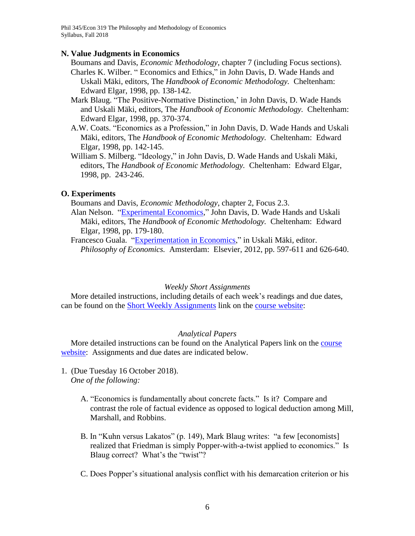### **N. Value Judgments in Economics**

- Boumans and Davis, *Economic Methodology*, chapter 7 (including Focus sections).
- Charles K. Wilber. " Economics and Ethics," in John Davis, D. Wade Hands and Uskali Mäki, editors, The *Handbook of Economic Methodology.* Cheltenham: Edward Elgar, 1998, pp. 138-142.
- Mark Blaug. "The Positive-Normative Distinction,' in John Davis, D. Wade Hands and Uskali Mäki, editors, The *Handbook of Economic Methodology.* Cheltenham: Edward Elgar, 1998, pp. 370-374.
- A.W. Coats. "Economics as a Profession," in John Davis, D. Wade Hands and Uskali Mäki, editors, The *Handbook of Economic Methodology.* Cheltenham: Edward Elgar, 1998, pp. 142-145.
- William S. Milberg. "Ideology," in John Davis, D. Wade Hands and Uskali Mäki, editors, The *Handbook of Economic Methodology.* Cheltenham: Edward Elgar, 1998, pp. 243-246.

### **O. Experiments**

Boumans and Davis, *Economic Methodology*, chapter 2, Focus 2.3.

Alan Nelson. ["Experimental Economics,](file://///afs/auto3/web/Courses/Philosophy%20of%20Economics/Secure%20Readings/Nelson%20experimental%20economics.pdf)" John Davis, D. Wade Hands and Uskali Mäki, editors, The *Handbook of Economic Methodology.* Cheltenham: Edward Elgar, 1998, pp. 179-180.

Francesco Guala. ["Experimentation in Economics,](http://public.econ.duke.edu/~kdh9/Courses/Philosophy%20of%20Economics/Secure%20Readings/Guala%20Experimentation)" in Uskali Mäki, editor. *Philosophy of Economics.* Amsterdam: Elsevier, 2012, pp. 597-611 and 626-640.

### *Weekly Short Assignments*

More detailed instructions, including details of each week's readings and due dates, can be found on the Short Weekly [Assignments](http://www.econ.duke.edu/~kdh9/Courses/Phil%20145-Econ%20137/145master.htm) link on the course [website:](http://www.econ.duke.edu/~kdh9/Courses/Phil%20145-Econ%20137/145master.htm)

### *Analytical Papers*

More detailed instructions can be found on the Analytical Papers link on the [course](http://www.econ.duke.edu/~kdh9/Courses/Phil%20145-Econ%20137/145master.htm) [website:](http://www.econ.duke.edu/~kdh9/Courses/Phil%20145-Econ%20137/145master.htm) Assignments and due dates are indicated below.

- 1. (Due Tuesday 16 October 2018). *One of the following:*
	- A. "Economics is fundamentally about concrete facts." Is it? Compare and contrast the role of factual evidence as opposed to logical deduction among Mill, Marshall, and Robbins.
	- B. In "Kuhn versus Lakatos" (p. 149), Mark Blaug writes: "a few [economists] realized that Friedman is simply Popper-with-a-twist applied to economics." Is Blaug correct? What's the "twist"?
	- C. Does Popper's situational analysis conflict with his demarcation criterion or his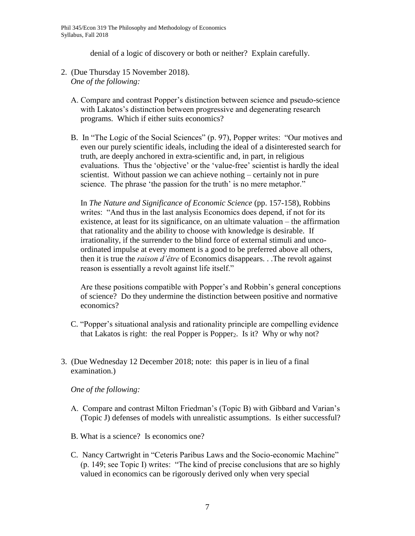denial of a logic of discovery or both or neither? Explain carefully.

- 2. (Due Thursday 15 November 2018). *One of the following:*
	- A. Compare and contrast Popper's distinction between science and pseudo-science with Lakatos's distinction between progressive and degenerating research programs. Which if either suits economics?
	- B. In "The Logic of the Social Sciences" (p. 97), Popper writes: "Our motives and even our purely scientific ideals, including the ideal of a disinterested search for truth, are deeply anchored in extra-scientific and, in part, in religious evaluations. Thus the 'objective' or the 'value-free' scientist is hardly the ideal scientist. Without passion we can achieve nothing – certainly not in pure science. The phrase 'the passion for the truth' is no mere metaphor."

In *The Nature and Significance of Economic Science* (pp. 157-158), Robbins writes: "And thus in the last analysis Economics does depend, if not for its existence, at least for its significance, on an ultimate valuation – the affirmation that rationality and the ability to choose with knowledge is desirable. If irrationality, if the surrender to the blind force of external stimuli and uncoordinated impulse at every moment is a good to be preferred above all others, then it is true the *raison d'être* of Economics disappears. . .The revolt against reason is essentially a revolt against life itself."

Are these positions compatible with Popper's and Robbin's general conceptions of science? Do they undermine the distinction between positive and normative economics?

- C. "Popper's situational analysis and rationality principle are compelling evidence that Lakatos is right: the real Popper is Popper<sub>2</sub>. Is it? Why or why not?
- 3. (Due Wednesday 12 December 2018; note: this paper is in lieu of a final examination.)

*One of the following:* 

- A. Compare and contrast Milton Friedman's (Topic B) with Gibbard and Varian's (Topic J) defenses of models with unrealistic assumptions. Is either successful?
- B. What is a science? Is economics one?
- C. Nancy Cartwright in "Ceteris Paribus Laws and the Socio-economic Machine" (p. 149; see Topic I) writes: "The kind of precise conclusions that are so highly valued in economics can be rigorously derived only when very special